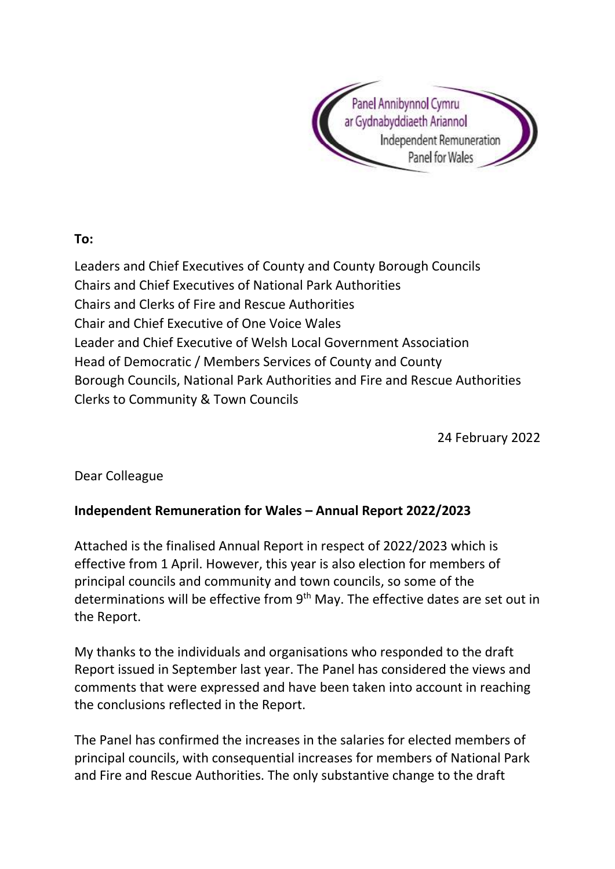

## **To:**

Leaders and Chief Executives of County and County Borough Councils Chairs and Chief Executives of National Park Authorities Chairs and Clerks of Fire and Rescue Authorities Chair and Chief Executive of One Voice Wales Leader and Chief Executive of Welsh Local Government Association Head of Democratic / Members Services of County and County Borough Councils, National Park Authorities and Fire and Rescue Authorities Clerks to Community & Town Councils

24 February 2022

Dear Colleague

## **Independent Remuneration for Wales – Annual Report 2022/2023**

Attached is the finalised Annual Report in respect of 2022/2023 which is effective from 1 April. However, this year is also election for members of principal councils and community and town councils, so some of the determinations will be effective from 9<sup>th</sup> May. The effective dates are set out in the Report.

My thanks to the individuals and organisations who responded to the draft Report issued in September last year. The Panel has considered the views and comments that were expressed and have been taken into account in reaching the conclusions reflected in the Report.

The Panel has confirmed the increases in the salaries for elected members of principal councils, with consequential increases for members of National Park and Fire and Rescue Authorities. The only substantive change to the draft